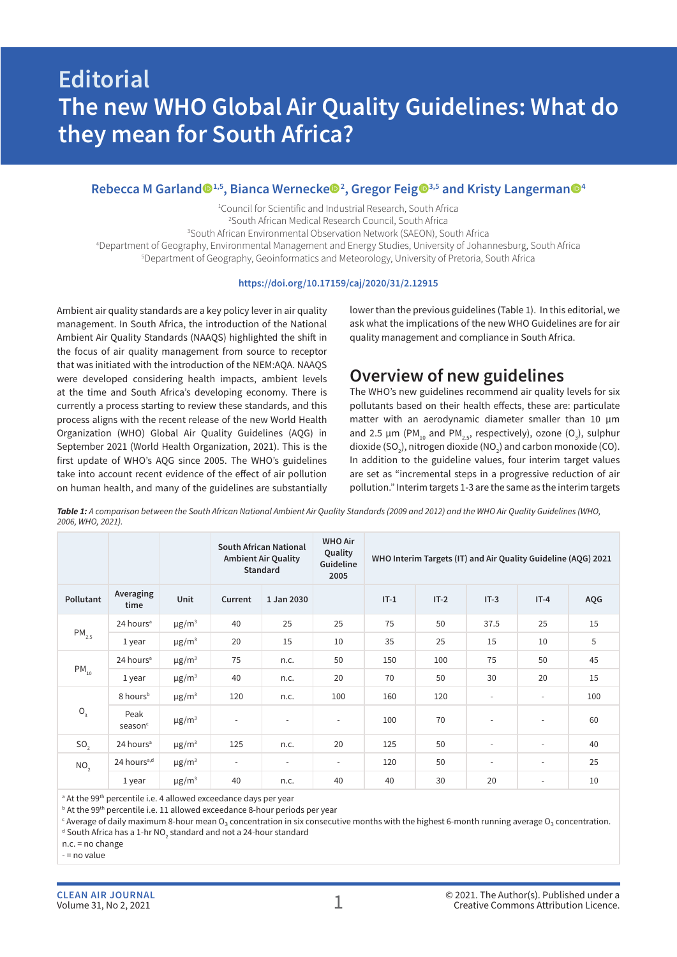# **Editorial The new WHO Global Air Quality Guidelines: What do they mean for South Africa?**

### Rebecca M Garland<sup>@1,5</sup>, Bianca Wernecke<sup>@2</sup>, Gregor Feig<sup>@3,5</sup> and Kristy Langerman<sup>@4</sup>

1 Council for Scientific and Industrial Research, South Africa 2 South African Medical Research Council, South Africa

3 South African Environmental Observation Network (SAEON), South Africa

4 Department of Geography, Environmental Management and Energy Studies, University of Johannesburg, South Africa 5 Department of Geography, Geoinformatics and Meteorology, University of Pretoria, South Africa

#### **https://doi.org/10.17159/caj/2020/31/2.12915**

Ambient air quality standards are a key policy lever in air quality management. In South Africa, the introduction of the National Ambient Air Quality Standards (NAAQS) highlighted the shift in the focus of air quality management from source to receptor that was initiated with the introduction of the NEM:AQA. NAAQS were developed considering health impacts, ambient levels at the time and South Africa's developing economy. There is currently a process starting to review these standards, and this process aligns with the recent release of the new World Health Organization (WHO) Global Air Quality Guidelines (AQG) in September 2021 (World Health Organization, 2021). This is the first update of WHO's AQG since 2005. The WHO's guidelines take into account recent evidence of the effect of air pollution on human health, and many of the guidelines are substantially lower than the previous guidelines (Table 1). In this editorial, we ask what the implications of the new WHO Guidelines are for air quality management and compliance in South Africa.

# **Overview of new guidelines**

The WHO's new guidelines recommend air quality levels for six pollutants based on their health effects, these are: particulate matter with an aerodynamic diameter smaller than 10 µm and 2.5  $\mu$ m (PM<sub>10</sub> and PM<sub>2.5</sub>, respectively), ozone (O<sub>3</sub>), sulphur dioxide (SO<sub>2</sub>), nitrogen dioxide (NO<sub>2</sub>) and carbon monoxide (CO). In addition to the guideline values, four interim target values are set as "incremental steps in a progressive reduction of air pollution." Interim targets 1-3 are the same as the interim targets

*Table 1: A comparison between the South African National Ambient Air Quality Standards (2009 and 2012) and the WHO Air Quality Guidelines (WHO, 2006, WHO, 2021).*

|                 |                             |                        | <b>South African National</b><br><b>Ambient Air Quality</b><br>Standard |                          | <b>WHO Air</b><br>Quality<br>Guideline<br>2005 | WHO Interim Targets (IT) and Air Quality Guideline (AQG) 2021 |        |                          |                          |     |
|-----------------|-----------------------------|------------------------|-------------------------------------------------------------------------|--------------------------|------------------------------------------------|---------------------------------------------------------------|--------|--------------------------|--------------------------|-----|
| Pollutant       | Averaging<br>time           | Unit                   | Current                                                                 | 1 Jan 2030               |                                                | $IT-1$                                                        | $IT-2$ | $IT-3$                   | $IT-4$                   | AQG |
| $PM_{2.5}$      | 24 hours <sup>a</sup>       | $\mu$ g/m <sup>3</sup> | 40                                                                      | 25                       | 25                                             | 75                                                            | 50     | 37.5                     | 25                       | 15  |
|                 | 1 year                      | $\mu$ g/m <sup>3</sup> | 20                                                                      | 15                       | 10                                             | 35                                                            | 25     | 15                       | 10                       | 5   |
| $PM_{10}$       | 24 hours <sup>a</sup>       | $\mu$ g/m <sup>3</sup> | 75                                                                      | n.c.                     | 50                                             | 150                                                           | 100    | 75                       | 50                       | 45  |
|                 | 1 year                      | $\mu$ g/m <sup>3</sup> | 40                                                                      | n.c.                     | 20                                             | 70                                                            | 50     | 30                       | 20                       | 15  |
| $\mathsf{O}_3$  | 8 hours <sup>b</sup>        | $\mu$ g/m <sup>3</sup> | 120                                                                     | n.c.                     | 100                                            | 160                                                           | 120    | $\overline{\phantom{a}}$ | $\overline{\phantom{a}}$ | 100 |
|                 | Peak<br>season <sup>c</sup> | $\mu$ g/m <sup>3</sup> | $\overline{\phantom{a}}$                                                | $\overline{\phantom{a}}$ | $\overline{\phantom{a}}$                       | 100                                                           | 70     | $\overline{\phantom{a}}$ | $\overline{\phantom{a}}$ | 60  |
| SO <sub>2</sub> | 24 hours <sup>a</sup>       | $\mu$ g/m <sup>3</sup> | 125                                                                     | n.c.                     | 20                                             | 125                                                           | 50     | $\overline{\phantom{a}}$ | $\overline{a}$           | 40  |
| NO <sub>2</sub> | 24 hours <sup>a,d</sup>     | $\mu$ g/m <sup>3</sup> | $\overline{\phantom{a}}$                                                | $\overline{\phantom{a}}$ | $\overline{\phantom{a}}$                       | 120                                                           | 50     | $\overline{\phantom{a}}$ | $\overline{\phantom{a}}$ | 25  |
|                 | 1 year                      | $\mu$ g/m <sup>3</sup> | 40                                                                      | n.c.                     | 40                                             | 40                                                            | 30     | 20                       | $\overline{\phantom{a}}$ | 10  |

a At the 99th percentile i.e. 4 allowed exceedance days per year

b At the 99th percentile i.e. 11 allowed exceedance 8-hour periods per year

<sup>c</sup> Average of daily maximum 8-hour mean O3 concentration in six consecutive months with the highest 6-month running average O3 concentration.

 $^{\text{\tiny{d}}}$  South Africa has a 1-hr NO $_{_2}$  standard and not a 24-hour standard

n.c. = no change - = no value